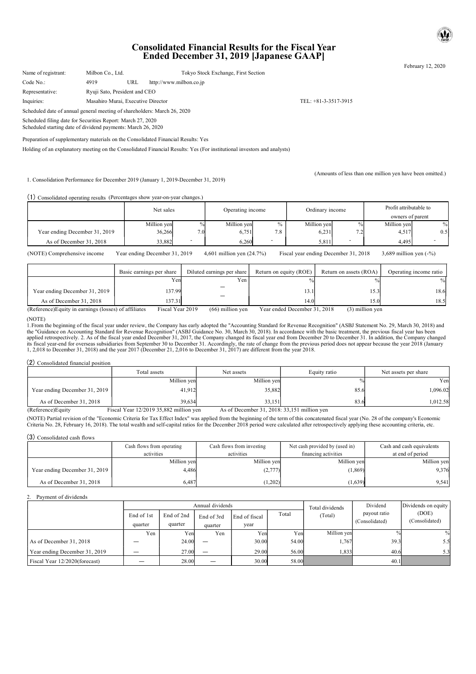# Consolidated Financial Results for the Fiscal Year Ended December 31, 2019 [Japanese GAAP]

February 12, 2020

| Name of registrant:                                                                                                         | Milbon Co., Ltd.                   |     | Tokyo Stock Exchange, First Section |                        |  |  |  |
|-----------------------------------------------------------------------------------------------------------------------------|------------------------------------|-----|-------------------------------------|------------------------|--|--|--|
| Code No.:                                                                                                                   | 4919                               | URL | http://www.milbon.co.jp             |                        |  |  |  |
| Representative:                                                                                                             | Ryuji Sato, President and CEO      |     |                                     |                        |  |  |  |
| Inquiries:                                                                                                                  | Masahiro Murai, Executive Director |     |                                     | TEL: $+81-3-3517-3915$ |  |  |  |
| Scheduled date of annual general meeting of shareholders: March 26, 2020                                                    |                                    |     |                                     |                        |  |  |  |
| Scheduled filing date for Securities Report: March 27, 2020<br>Scheduled starting date of dividend payments: March 26, 2020 |                                    |     |                                     |                        |  |  |  |

Preparation of supplementary materials on the Consolidated Financial Results: Yes

Holding of an explanatory meeting on the Consolidated Financial Results: Yes (For institutional investors and analysts)

1. Consolidation Performance for December 2019 (January 1, 2019-December 31, 2019)

(Amounts of less than one million yen have been omitted.)

#### (1) Consolidated operating results (Percentages show year-on-year changes.)

|                               | Net sales   |                          | Operating income |      | Ordinary income |      | Profit attributable to |      |  |  |
|-------------------------------|-------------|--------------------------|------------------|------|-----------------|------|------------------------|------|--|--|
|                               |             |                          |                  |      |                 |      | owners of parent       |      |  |  |
|                               | Million yen | $\%$                     | Million yen      | $\%$ | Million yen     | $\%$ | Million yen            | $\%$ |  |  |
| Year ending December 31, 2019 | 36,266      | 7.0                      | 6,751            | 7.8  | 6,231           | ے .  | 4,517                  | 0.5  |  |  |
| As of December 31, 2018       | 33,882      | $\overline{\phantom{0}}$ | 6,260            | ۰    | 5,811           |      | 4,495                  |      |  |  |

(NOTE) Comprehensive income Year ending December 31, 2019 4,601 million yen (24.7%) Fiscal year ending December 31, 2018 3,689 million yen (-%)

|                                                       | Basic earnings per share | Diluted earnings per share | Return on equity (ROE)       | Return on assets (ROA) | Operating income ratio |
|-------------------------------------------------------|--------------------------|----------------------------|------------------------------|------------------------|------------------------|
|                                                       | Yen                      | Yen                        |                              |                        |                        |
| Year ending December 31, 2019                         | 137.99                   |                            | $13.1^{\circ}$               | 15.3                   | 18.6                   |
| As of December 31, 2018                               | 137.31                   |                            | 14.0                         | 15.0                   | 18.5                   |
| (Reference) Equity in earnings (losses) of affiliates | Fiscal Year 2019         | $(66)$ million yen         | Year ended December 31, 2018 | $(3)$ million yen      |                        |

(NOTE)

1.From the beginning of the fiscal year under review, the Company has early adopted the "Accounting Standard for Revenue Recognition" (ASBJ Statement No. 29, March 30, 2018) and the "Guidance on Accounting Standard for Revenue Recognition" (ASBJ Guidance No. 30, March 30, 2018). In accordance with the basic treatment, the previous fiscal year has been<br>applied retrospectively. 2. As of the fiscal y 1, 2,018 to December 31, 2018) and the year 2017 (December 21, 2,016 to December 31, 2017) are different from the year 2018.

#### (2) Consolidated financial position

|                                | Total assets                                | Net assets                                    | Equity ratio | Net assets per share |
|--------------------------------|---------------------------------------------|-----------------------------------------------|--------------|----------------------|
|                                | Million yen                                 | Million yen                                   |              | Yen                  |
| Year ending December 31, 2019  | 41,912                                      | 35.882                                        | 85.6         | 1,096.02             |
| As of December 31, 2018        | 39.634                                      | 33.151                                        | 83.6         | 1,012.58             |
| $(D$ of $operatorname{con}(D)$ | $E_{1000}$ Veg $12/2010.25.882$ million von | As of Doombar $21, 2018, 22, 151$ million you |              |                      |

|                               | Cash flows from operating | Cash flows from investing | Net cash provided by (used in) | Cash and cash equivalents<br>at end of period |  |
|-------------------------------|---------------------------|---------------------------|--------------------------------|-----------------------------------------------|--|
|                               | activities                | activities                | financing activities           |                                               |  |
|                               | Million yen               | Million yen               | Million yen                    | Million yen                                   |  |
| Year ending December 31, 2019 | 4.486                     | (2,777)                   | (1, 869)                       | 9,376                                         |  |
| As of December 31, 2018       | 6.487                     | (1.202)                   | (1,639)                        | 9,541                                         |  |

#### 2. Payment of dividends

| (2) Consolidated financial position                                                                                                                                                                                                                                                                                                                                                | Total assets                           |             |                  | Net assets                                  |       | Equity ratio                   |                | Net assets per share      |
|------------------------------------------------------------------------------------------------------------------------------------------------------------------------------------------------------------------------------------------------------------------------------------------------------------------------------------------------------------------------------------|----------------------------------------|-------------|------------------|---------------------------------------------|-------|--------------------------------|----------------|---------------------------|
|                                                                                                                                                                                                                                                                                                                                                                                    |                                        | Million yen |                  | Million yen                                 |       |                                |                | Yer                       |
|                                                                                                                                                                                                                                                                                                                                                                                    |                                        | 41.912      |                  |                                             |       |                                | 85.6           |                           |
| Year ending December 31, 2019                                                                                                                                                                                                                                                                                                                                                      |                                        |             |                  | 35,882                                      |       |                                |                | 1,096.02                  |
| As of December 31, 2018                                                                                                                                                                                                                                                                                                                                                            |                                        | 39.634      |                  | 33,151                                      |       |                                | 83.6           | 1,012.58                  |
| (Reference)Equity                                                                                                                                                                                                                                                                                                                                                                  | Fiscal Year 12/2019 35,882 million yen |             |                  | As of December 31, 2018: 33,151 million yen |       |                                |                |                           |
| (NOTE) Partial revision of the "Economic Criteria for Tax Effect Index" was applied from the beginning of the term of this concatenated fiscal year (No. 28 of the company's Economic<br>Criteria No. 28, February 16, 2018). The total wealth and self-capital ratios for the December 2018 period were calculated after retrospectively applying these accounting criteria, etc. |                                        |             |                  |                                             |       |                                |                |                           |
| (3) Consolidated cash flows                                                                                                                                                                                                                                                                                                                                                        |                                        |             |                  |                                             |       |                                |                |                           |
|                                                                                                                                                                                                                                                                                                                                                                                    | Cash flows from operating              |             |                  | Cash flows from investing                   |       | Net cash provided by (used in) |                | Cash and cash equivalents |
|                                                                                                                                                                                                                                                                                                                                                                                    | activities                             |             |                  | activities                                  |       | financing activities           |                | at end of period          |
|                                                                                                                                                                                                                                                                                                                                                                                    |                                        | Million yen |                  | Million yen                                 |       | Million yen                    |                | Million yen               |
| Year ending December 31, 2019                                                                                                                                                                                                                                                                                                                                                      |                                        | 4,486       |                  | (2,777)                                     |       |                                | (1,869)        | 9,376                     |
| As of December 31, 2018                                                                                                                                                                                                                                                                                                                                                            |                                        | 6.487       |                  | (1,202)                                     |       |                                | (1,639)        | 9,541                     |
|                                                                                                                                                                                                                                                                                                                                                                                    |                                        |             |                  |                                             |       |                                |                |                           |
| Payment of dividends                                                                                                                                                                                                                                                                                                                                                               |                                        |             |                  |                                             |       |                                |                |                           |
|                                                                                                                                                                                                                                                                                                                                                                                    |                                        |             | Annual dividends |                                             |       | Total dividends                | Dividend       | Dividends on equity       |
|                                                                                                                                                                                                                                                                                                                                                                                    | End of 1st                             | End of 2nd  | End of 3rd       | End of fiscal                               | Total | (Total)                        | payout ratio   | (DOE)                     |
|                                                                                                                                                                                                                                                                                                                                                                                    | quarter                                | quarter     | quarter          | year                                        |       |                                | (Consolidated) | (Consolidated)            |
|                                                                                                                                                                                                                                                                                                                                                                                    | Yen                                    | Yen         | Yen              | Yen                                         | Yen   | Million yen                    |                |                           |
| As of December 31, 2018                                                                                                                                                                                                                                                                                                                                                            |                                        | 24.00       |                  | 30.00                                       | 54.00 | 1.767                          | 39.3           | 5.5                       |
| Year ending December 31, 2019                                                                                                                                                                                                                                                                                                                                                      | $\overline{\phantom{0}}$               | 27.00       | -                | 29.00                                       | 56.00 | 1,833                          | 40.6           | 5.3                       |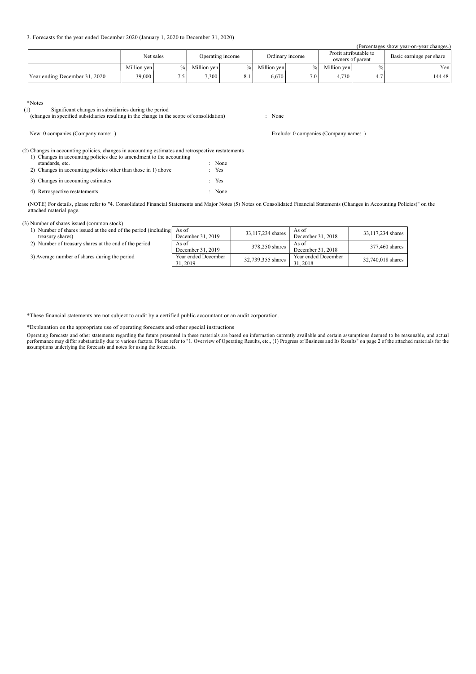3. Forecasts for the year ended December 2020 (January 1, 2020 to December 31, 2020)

(Percentages show year-on-year changes.)

|                               | Net sales   |      | Operating income |  |             | Ordinary income | Profit attributable to<br>owners of parent |                       | Basic earnings per share |
|-------------------------------|-------------|------|------------------|--|-------------|-----------------|--------------------------------------------|-----------------------|--------------------------|
|                               | Million ven | $\%$ | Million ven      |  | Million yen |                 | Million ven                                | $\%$                  | Yen                      |
| Year ending December 31, 2020 | 39,000      | سم   | 7.300            |  | 6.670       | 7.0             | 4.730                                      | $\overline{A}$<br>4.7 | 144.48                   |

Exclude: 0 companies (Company name: )

 $*$ Notes<br>(1) Significant changes in subsidiaries during the period

(changes in specified subsidiaries resulting in the change in the scope of consolidation) : None

| New: 0 companies (Company name: ) |  |  |
|-----------------------------------|--|--|
|-----------------------------------|--|--|

(2) Changes in accounting policies, changes in accounting estimates and retrospective restatements 1) Changes in accounting policies due to amendment to the accounting

| The committee of the model metal protection and to millettering to the model mithing |        |
|--------------------------------------------------------------------------------------|--------|
| standards, etc.                                                                      | : None |
| 2) Changes in accounting policies other than those in 1) above                       | : Yes  |
| 3) Changes in accounting estimates                                                   | : Yes  |
| 4) Retrospective restatements                                                        | : None |
|                                                                                      |        |

(NOTE) For details, please refer to "4. Consolidated Financial Statements and Major Notes (5) Notes on Consolidated Financial Statements (Changes in Accounting Policies)" on the attached material page.

# (3) Number of shares issued (common stock)

| 1) Number of shares issued at the end of the period (including<br>treasury shares) | As of<br>December 31, 2019      | 33,117,234 shares | As of<br>December 31, 2018      | 33,117,234 shares |
|------------------------------------------------------------------------------------|---------------------------------|-------------------|---------------------------------|-------------------|
| 2) Number of treasury shares at the end of the period                              | As of<br>December 31, 2019      | 378,250 shares    | As of<br>December 31, 2018      | 377,460 shares    |
| 3) Average number of shares during the period                                      | Year ended December<br>31, 2019 | 32,739,355 shares | Year ended December<br>31, 2018 | 32,740,018 shares |

\*These financial statements are not subject to audit by a certified public accountant or an audit corporation.

\*Explanation on the appropriate use of operating forecasts and other special instructions

Operating forecasts and other statements regarding the future presented in these materials are based on information currently available and certain assumptions deemed to be reasonable, and actual<br>performance may differ sub assumptions underlying the forecasts and notes for using the forecasts.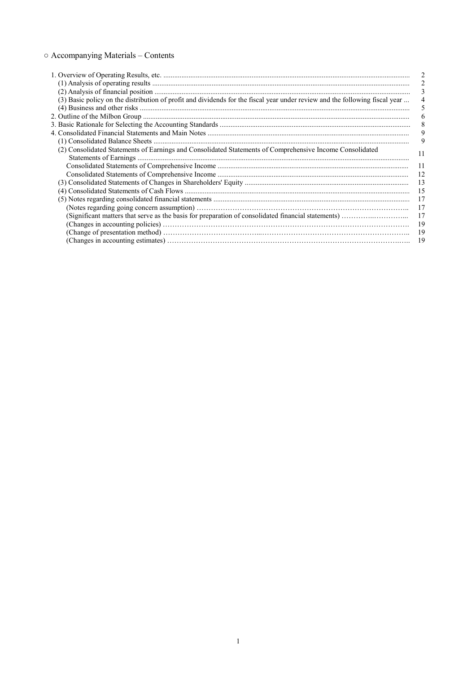# ○ Accompanying Materials – Contents

|                                                                                                                             | 3    |
|-----------------------------------------------------------------------------------------------------------------------------|------|
| (3) Basic policy on the distribution of profit and dividends for the fiscal year under review and the following fiscal year |      |
|                                                                                                                             |      |
|                                                                                                                             | 6    |
|                                                                                                                             | 8    |
|                                                                                                                             | 9    |
|                                                                                                                             | 9    |
| (2) Consolidated Statements of Earnings and Consolidated Statements of Comprehensive Income Consolidated                    | 11   |
|                                                                                                                             |      |
|                                                                                                                             | 11   |
|                                                                                                                             | 12   |
|                                                                                                                             | 13   |
|                                                                                                                             | - 15 |
|                                                                                                                             | 17   |
|                                                                                                                             | 17   |
|                                                                                                                             | 17   |
|                                                                                                                             | 19   |
|                                                                                                                             | 19   |
|                                                                                                                             | 19   |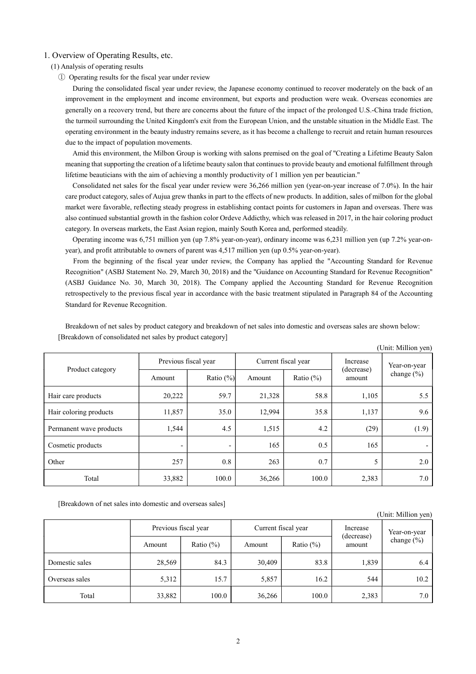### 1. Overview of Operating Results, etc.

### (1) Analysis of operating results

① Operating results for the fiscal year under review

During the consolidated fiscal year under review, the Japanese economy continued to recover moderately on the back of an improvement in the employment and income environment, but exports and production were weak. Overseas economies are generally on a recovery trend, but there are concerns about the future of the impact of the prolonged U.S.-China trade friction, the turmoil surrounding the United Kingdom's exit from the European Union, and the unstable situation in the Middle East. The operating environment in the beauty industry remains severe, as it has become a challenge to recruit and retain human resources due to the impact of population movements.

Amid this environment, the Milbon Group is working with salons premised on the goal of "Creating a Lifetime Beauty Salon meaning that supporting the creation of a lifetime beauty salon that continues to provide beauty and emotional fulfillment through lifetime beauticians with the aim of achieving a monthly productivity of 1 million yen per beautician."

Consolidated net sales for the fiscal year under review were 36,266 million yen (year-on-year increase of 7.0%). In the hair care product category, sales of Aujua grew thanks in part to the effects of new products. In addition, sales of milbon for the global market were favorable, reflecting steady progress in establishing contact points for customers in Japan and overseas. There was also continued substantial growth in the fashion color Ordeve Addicthy, which was released in 2017, in the hair coloring product category. In overseas markets, the East Asian region, mainly South Korea and, performed steadily.

Operating income was 6,751 million yen (up 7.8% year-on-year), ordinary income was 6,231 million yen (up 7.2% year-onyear), and profit attributable to owners of parent was 4,517 million yen (up 0.5% year-on-year).

From the beginning of the fiscal year under review, the Company has applied the "Accounting Standard for Revenue Recognition" (ASBJ Statement No. 29, March 30, 2018) and the "Guidance on Accounting Standard for Revenue Recognition" (ASBJ Guidance No. 30, March 30, 2018). The Company applied the Accounting Standard for Revenue Recognition retrospectively to the previous fiscal year in accordance with the basic treatment stipulated in Paragraph 84 of the Accounting Standard for Revenue Recognition.

|                         |                      |                          |                     |              |                        | (Unit: Million yen)        |  |
|-------------------------|----------------------|--------------------------|---------------------|--------------|------------------------|----------------------------|--|
|                         | Previous fiscal year |                          | Current fiscal year |              | Increase<br>(decrease) | Year-on-year<br>change (%) |  |
| Product category        | Amount               | Ratio $(\% )$            | Amount              | Ratio $(\%)$ | amount                 |                            |  |
| Hair care products      | 20,222               | 59.7                     | 21,328              | 58.8         | 1,105                  | 5.5                        |  |
| Hair coloring products  | 11,857               | 35.0                     | 12,994              | 35.8         | 1,137                  | 9.6                        |  |
| Permanent wave products | 1,544                | 4.5                      | 1,515               | 4.2          | (29)                   | (1.9)                      |  |
| Cosmetic products       | -                    | $\overline{\phantom{a}}$ | 165                 | 0.5          | 165                    | -                          |  |
| Other                   | 257                  | 0.8                      | 263                 | 0.7          | 5                      | 2.0                        |  |
| Total                   | 33,882               | 100.0                    | 36,266              | 100.0        | 2,383                  | 7.0                        |  |

Breakdown of net sales by product category and breakdown of net sales into domestic and overseas sales are shown below: [Breakdown of consolidated net sales by product category]  $(1, 1, 1)$ 

[Breakdown of net sales into domestic and overseas sales]

|                |                      |              |                     |               |                      | (Unit: Million yen) |
|----------------|----------------------|--------------|---------------------|---------------|----------------------|---------------------|
|                | Previous fiscal year |              | Current fiscal year |               | Increase             | Year-on-year        |
|                | Amount               | Ratio $(\%)$ | Amount              | Ratio $(\% )$ | (decrease)<br>amount | change $(\% )$      |
| Domestic sales | 28,569               | 84.3         | 30,409              | 83.8          | 1,839                | 6.4                 |
| Overseas sales | 5,312                | 15.7         | 5,857               | 16.2          | 544                  | 10.2                |
| Total          | 33,882               | 100.0        | 36,266              | 100.0         | 2,383                | 7.0                 |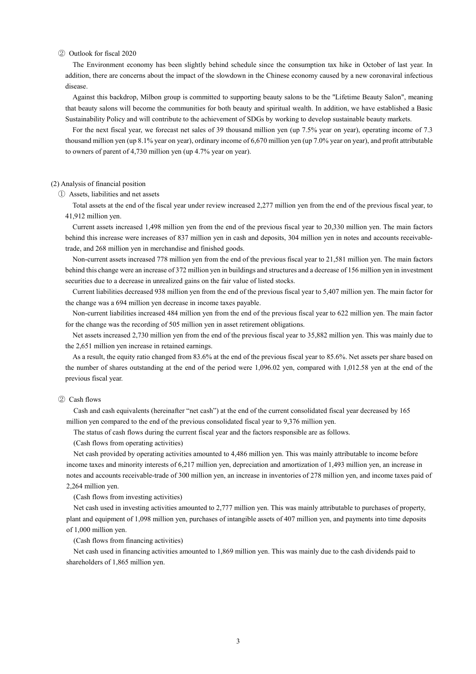#### ② Outlook for fiscal 2020

The Environment economy has been slightly behind schedule since the consumption tax hike in October of last year. In addition, there are concerns about the impact of the slowdown in the Chinese economy caused by a new coronaviral infectious disease.

Against this backdrop, Milbon group is committed to supporting beauty salons to be the "Lifetime Beauty Salon", meaning that beauty salons will become the communities for both beauty and spiritual wealth. In addition, we have established a Basic Sustainability Policy and will contribute to the achievement of SDGs by working to develop sustainable beauty markets.

For the next fiscal year, we forecast net sales of 39 thousand million yen (up 7.5% year on year), operating income of 7.3 thousand million yen (up 8.1% year on year), ordinary income of 6,670 million yen (up 7.0% year on year), and profit attributable to owners of parent of 4,730 million yen (up 4.7% year on year).

#### (2) Analysis of financial position

① Assets, liabilities and net assets

Total assets at the end of the fiscal year under review increased 2,277 million yen from the end of the previous fiscal year, to 41,912 million yen.

Current assets increased 1,498 million yen from the end of the previous fiscal year to 20,330 million yen. The main factors behind this increase were increases of 837 million yen in cash and deposits, 304 million yen in notes and accounts receivabletrade, and 268 million yen in merchandise and finished goods.

Non-current assets increased 778 million yen from the end of the previous fiscal year to 21,581 million yen. The main factors behind this change were an increase of 372 million yen in buildings and structures and a decrease of 156 million yen in investment securities due to a decrease in unrealized gains on the fair value of listed stocks.

Current liabilities decreased 938 million yen from the end of the previous fiscal year to 5,407 million yen. The main factor for the change was a 694 million yen decrease in income taxes payable.

Non-current liabilities increased 484 million yen from the end of the previous fiscal year to 622 million yen. The main factor for the change was the recording of 505 million yen in asset retirement obligations.

Net assets increased 2,730 million yen from the end of the previous fiscal year to 35,882 million yen. This was mainly due to the 2,651 million yen increase in retained earnings.

As a result, the equity ratio changed from 83.6% at the end of the previous fiscal year to 85.6%. Net assets per share based on the number of shares outstanding at the end of the period were 1,096.02 yen, compared with 1,012.58 yen at the end of the previous fiscal year.

### ② Cash flows

Cash and cash equivalents (hereinafter "net cash") at the end of the current consolidated fiscal year decreased by 165 million yen compared to the end of the previous consolidated fiscal year to 9,376 million yen.

The status of cash flows during the current fiscal year and the factors responsible are as follows.

(Cash flows from operating activities)

Net cash provided by operating activities amounted to 4,486 million yen. This was mainly attributable to income before income taxes and minority interests of 6,217 million yen, depreciation and amortization of 1,493 million yen, an increase in notes and accounts receivable-trade of 300 million yen, an increase in inventories of 278 million yen, and income taxes paid of 2,264 million yen.

(Cash flows from investing activities)

Net cash used in investing activities amounted to 2,777 million yen. This was mainly attributable to purchases of property, plant and equipment of 1,098 million yen, purchases of intangible assets of 407 million yen, and payments into time deposits of 1,000 million yen.

(Cash flows from financing activities)

Net cash used in financing activities amounted to 1,869 million yen. This was mainly due to the cash dividends paid to shareholders of 1,865 million yen.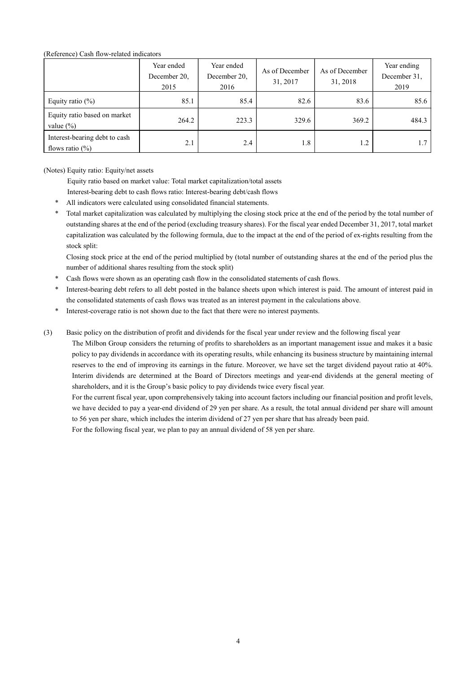# (Reference) Cash flow-related indicators

|                                                      | Year ended<br>December 20,<br>2015 | Year ended<br>December 20,<br>2016 | As of December<br>31, 2017 | As of December<br>31, 2018 | Year ending<br>December 31,<br>2019 |
|------------------------------------------------------|------------------------------------|------------------------------------|----------------------------|----------------------------|-------------------------------------|
| Equity ratio $(\%)$                                  | 85.1                               | 85.4                               | 82.6                       | 83.6                       | 85.6                                |
| Equity ratio based on market<br>value $(\% )$        | 264.2                              | 223.3                              | 329.6                      | 369.2                      | 484.3                               |
| Interest-bearing debt to cash<br>flows ratio $(\% )$ | 2.1                                | 2.4                                | 1.8                        | 1.2                        | 1.7                                 |

(Notes) Equity ratio: Equity/net assets

Equity ratio based on market value: Total market capitalization/total assets

Interest-bearing debt to cash flows ratio: Interest-bearing debt/cash flows

- All indicators were calculated using consolidated financial statements.
- Total market capitalization was calculated by multiplying the closing stock price at the end of the period by the total number of outstanding shares at the end of the period (excluding treasury shares). For the fiscal year ended December 31, 2017, total market capitalization was calculated by the following formula, due to the impact at the end of the period of ex-rights resulting from the stock split:

 Closing stock price at the end of the period multiplied by (total number of outstanding shares at the end of the period plus the number of additional shares resulting from the stock split)

- Cash flows were shown as an operating cash flow in the consolidated statements of cash flows.
- Interest-bearing debt refers to all debt posted in the balance sheets upon which interest is paid. The amount of interest paid in the consolidated statements of cash flows was treated as an interest payment in the calculations above.
- Interest-coverage ratio is not shown due to the fact that there were no interest payments.
- (3) Basic policy on the distribution of profit and dividends for the fiscal year under review and the following fiscal year

 The Milbon Group considers the returning of profits to shareholders as an important management issue and makes it a basic policy to pay dividends in accordance with its operating results, while enhancing its business structure by maintaining internal reserves to the end of improving its earnings in the future. Moreover, we have set the target dividend payout ratio at 40%. Interim dividends are determined at the Board of Directors meetings and year-end dividends at the general meeting of shareholders, and it is the Group's basic policy to pay dividends twice every fiscal year.

 For the current fiscal year, upon comprehensively taking into account factors including our financial position and profit levels, we have decided to pay a year-end dividend of 29 yen per share. As a result, the total annual dividend per share will amount to 56 yen per share, which includes the interim dividend of 27 yen per share that has already been paid. For the following fiscal year, we plan to pay an annual dividend of 58 yen per share.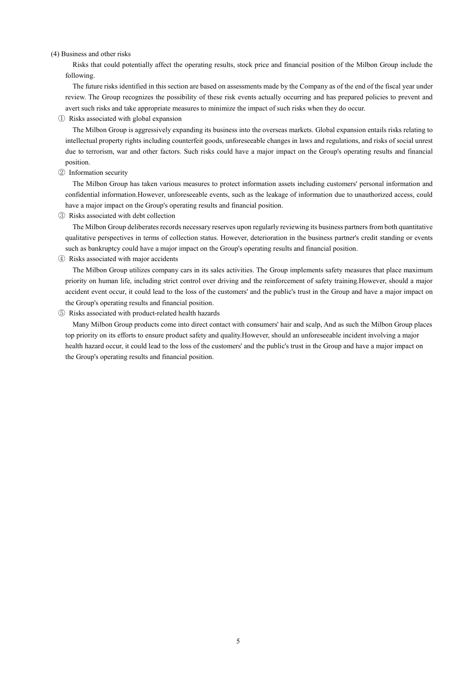#### (4) Business and other risks

Risks that could potentially affect the operating results, stock price and financial position of the Milbon Group include the following.

The future risks identified in this section are based on assessments made by the Company as of the end of the fiscal year under review. The Group recognizes the possibility of these risk events actually occurring and has prepared policies to prevent and avert such risks and take appropriate measures to minimize the impact of such risks when they do occur.

① Risks associated with global expansion

The Milbon Group is aggressively expanding its business into the overseas markets. Global expansion entails risks relating to intellectual property rights including counterfeit goods, unforeseeable changes in laws and regulations, and risks of social unrest due to terrorism, war and other factors. Such risks could have a major impact on the Group's operating results and financial position.

② Information security

The Milbon Group has taken various measures to protect information assets including customers' personal information and confidential information.However, unforeseeable events, such as the leakage of information due to unauthorized access, could have a major impact on the Group's operating results and financial position.

③ Risks associated with debt collection

The Milbon Group deliberates records necessary reserves upon regularly reviewing its business partners from both quantitative qualitative perspectives in terms of collection status. However, deterioration in the business partner's credit standing or events such as bankruptcy could have a major impact on the Group's operating results and financial position.

④ Risks associated with major accidents

The Milbon Group utilizes company cars in its sales activities. The Group implements safety measures that place maximum priority on human life, including strict control over driving and the reinforcement of safety training.However, should a major accident event occur, it could lead to the loss of the customers' and the public's trust in the Group and have a major impact on the Group's operating results and financial position.

### ⑤ Risks associated with product-related health hazards

Many Milbon Group products come into direct contact with consumers' hair and scalp, And as such the Milbon Group places top priority on its efforts to ensure product safety and quality.However, should an unforeseeable incident involving a major health hazard occur, it could lead to the loss of the customers' and the public's trust in the Group and have a major impact on the Group's operating results and financial position.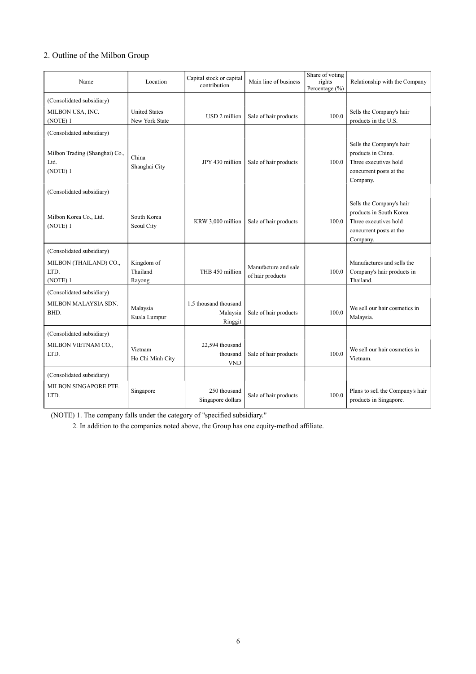# 2. Outline of the Milbon Group

| Name                                                                            | Location                               | Capital stock or capital<br>contribution     | Main line of business                    | Share of voting<br>rights<br>Percentage (%) | Relationship with the Company                                                                                        |
|---------------------------------------------------------------------------------|----------------------------------------|----------------------------------------------|------------------------------------------|---------------------------------------------|----------------------------------------------------------------------------------------------------------------------|
| (Consolidated subsidiary)<br>MILBON USA, INC.<br>(NOTE) 1                       | <b>United States</b><br>New York State | USD 2 million                                | Sale of hair products                    | 100.0                                       | Sells the Company's hair<br>products in the U.S.                                                                     |
| (Consolidated subsidiary)<br>Milbon Trading (Shanghai) Co.,<br>Ltd.<br>(NOTE) 1 | China<br>Shanghai City                 | JPY 430 million                              | Sale of hair products                    | 100.0                                       | Sells the Company's hair<br>products in China.<br>Three executives hold<br>concurrent posts at the<br>Company.       |
| (Consolidated subsidiary)<br>Milbon Korea Co., Ltd.<br>(NOTE) 1                 | South Korea<br>Seoul City              | KRW 3,000 million                            | Sale of hair products                    | 100.0                                       | Sells the Company's hair<br>products in South Korea.<br>Three executives hold<br>concurrent posts at the<br>Company. |
| (Consolidated subsidiary)<br>MILBON (THAILAND) CO.,<br>LTD.<br>(NOTE) 1         | Kingdom of<br>Thailand<br>Rayong       | THB 450 million                              | Manufacture and sale<br>of hair products | 100.0                                       | Manufactures and sells the<br>Company's hair products in<br>Thailand.                                                |
| (Consolidated subsidiary)<br>MILBON MALAYSIA SDN.<br>BHD.                       | Malaysia<br>Kuala Lumpur               | 1.5 thousand thousand<br>Malaysia<br>Ringgit | Sale of hair products                    | 100.0                                       | We sell our hair cosmetics in<br>Malaysia.                                                                           |
| (Consolidated subsidiary)<br>MILBON VIETNAM CO.,<br>LTD.                        | Vietnam<br>Ho Chi Minh City            | 22,594 thousand<br>thousand<br><b>VND</b>    | Sale of hair products                    | 100.0                                       | We sell our hair cosmetics in<br>Vietnam.                                                                            |
| (Consolidated subsidiary)<br>MILBON SINGAPORE PTE.<br>LTD.                      | Singapore                              | 250 thousand<br>Singapore dollars            | Sale of hair products                    | 100.0                                       | Plans to sell the Company's hair<br>products in Singapore.                                                           |

(NOTE) 1. The company falls under the category of "specified subsidiary."

2. In addition to the companies noted above, the Group has one equity-method affiliate.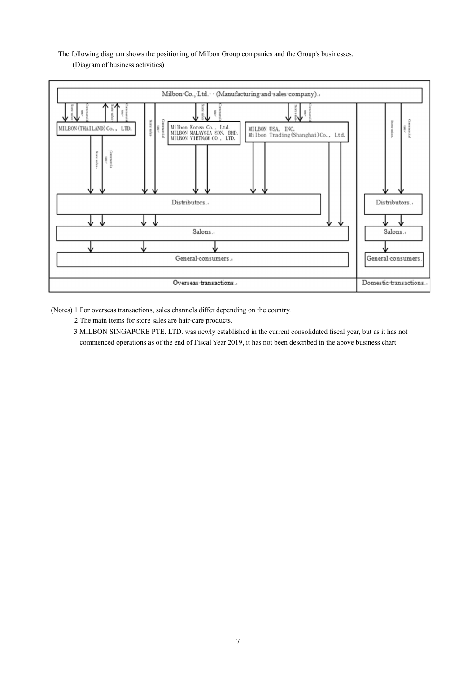The following diagram shows the positioning of Milbon Group companies and the Group's businesses. (Diagram of business activities)



(Notes) 1.For overseas transactions, sales channels differ depending on the country.

- 2 The main items for store sales are hair-care products.
- 3 MILBON SINGAPORE PTE. LTD. was newly established in the current consolidated fiscal year, but as it has not commenced operations as of the end of Fiscal Year 2019, it has not been described in the above business chart.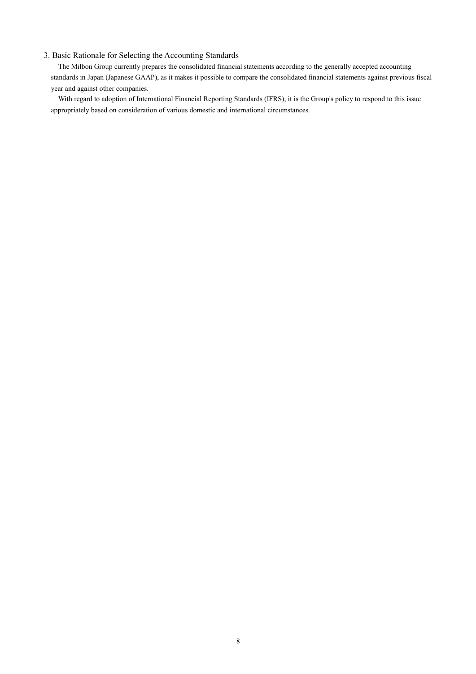# 3. Basic Rationale for Selecting the Accounting Standards

The Milbon Group currently prepares the consolidated financial statements according to the generally accepted accounting standards in Japan (Japanese GAAP), as it makes it possible to compare the consolidated financial statements against previous fiscal year and against other companies.

With regard to adoption of International Financial Reporting Standards (IFRS), it is the Group's policy to respond to this issue appropriately based on consideration of various domestic and international circumstances.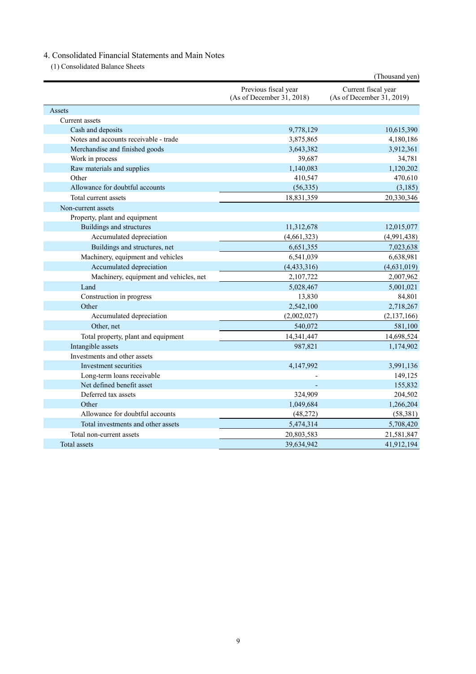# 4. Consolidated Financial Statements and Main Notes

(1) Consolidated Balance Sheets

|                                        |                                                   | (Thousand yen)                                   |
|----------------------------------------|---------------------------------------------------|--------------------------------------------------|
|                                        | Previous fiscal year<br>(As of December 31, 2018) | Current fiscal year<br>(As of December 31, 2019) |
| Assets                                 |                                                   |                                                  |
| Current assets                         |                                                   |                                                  |
| Cash and deposits                      | 9,778,129                                         | 10,615,390                                       |
| Notes and accounts receivable - trade  | 3,875,865                                         | 4,180,186                                        |
| Merchandise and finished goods         | 3,643,382                                         | 3,912,361                                        |
| Work in process                        | 39,687                                            | 34,781                                           |
| Raw materials and supplies             | 1,140,083                                         | 1,120,202                                        |
| Other                                  | 410,547                                           | 470,610                                          |
| Allowance for doubtful accounts        | (56, 335)                                         | (3,185)                                          |
| Total current assets                   | 18,831,359                                        | 20,330,346                                       |
| Non-current assets                     |                                                   |                                                  |
| Property, plant and equipment          |                                                   |                                                  |
| Buildings and structures               | 11,312,678                                        | 12,015,077                                       |
| Accumulated depreciation               | (4,661,323)                                       | (4,991,438)                                      |
| Buildings and structures, net          | 6,651,355                                         | 7,023,638                                        |
| Machinery, equipment and vehicles      | 6,541,039                                         | 6,638,981                                        |
| Accumulated depreciation               | (4, 433, 316)                                     | (4,631,019)                                      |
| Machinery, equipment and vehicles, net | 2,107,722                                         | 2,007,962                                        |
| Land                                   | 5,028,467                                         | 5,001,021                                        |
| Construction in progress               | 13,830                                            | 84,801                                           |
| Other                                  | 2,542,100                                         | 2,718,267                                        |
| Accumulated depreciation               | (2,002,027)                                       | (2, 137, 166)                                    |
| Other, net                             | 540,072                                           | 581,100                                          |
| Total property, plant and equipment    | 14,341,447                                        | 14,698,524                                       |
| Intangible assets                      | 987,821                                           | 1,174,902                                        |
| Investments and other assets           |                                                   |                                                  |
| Investment securities                  | 4,147,992                                         | 3,991,136                                        |
| Long-term loans receivable             |                                                   | 149,125                                          |
| Net defined benefit asset              |                                                   | 155,832                                          |
| Deferred tax assets                    | 324,909                                           | 204,502                                          |
| Other                                  | 1,049,684                                         | 1,266,204                                        |
| Allowance for doubtful accounts        | (48, 272)                                         | (58, 381)                                        |
| Total investments and other assets     | 5,474,314                                         | 5,708,420                                        |
| Total non-current assets               | 20,803,583                                        | 21,581,847                                       |
| Total assets                           | 39,634,942                                        | 41,912,194                                       |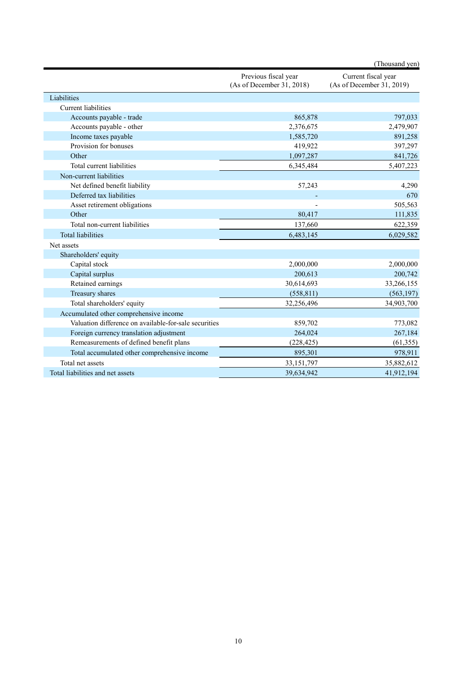|                                                       |                                                   | (Thousand yen)                                   |
|-------------------------------------------------------|---------------------------------------------------|--------------------------------------------------|
|                                                       | Previous fiscal year<br>(As of December 31, 2018) | Current fiscal year<br>(As of December 31, 2019) |
| Liabilities                                           |                                                   |                                                  |
| Current liabilities                                   |                                                   |                                                  |
| Accounts payable - trade                              | 865,878                                           | 797,033                                          |
| Accounts payable - other                              | 2,376,675                                         | 2,479,907                                        |
| Income taxes payable                                  | 1,585,720                                         | 891,258                                          |
| Provision for bonuses                                 | 419,922                                           | 397,297                                          |
| Other                                                 | 1,097,287                                         | 841,726                                          |
| Total current liabilities                             | 6,345,484                                         | 5,407,223                                        |
| Non-current liabilities                               |                                                   |                                                  |
| Net defined benefit liability                         | 57,243                                            | 4,290                                            |
| Deferred tax liabilities                              |                                                   | 670                                              |
| Asset retirement obligations                          |                                                   | 505,563                                          |
| Other                                                 | 80,417                                            | 111,835                                          |
| Total non-current liabilities                         | 137,660                                           | 622,359                                          |
| <b>Total liabilities</b>                              | 6,483,145                                         | 6,029,582                                        |
| Net assets                                            |                                                   |                                                  |
| Shareholders' equity                                  |                                                   |                                                  |
| Capital stock                                         | 2,000,000                                         | 2,000,000                                        |
| Capital surplus                                       | 200,613                                           | 200,742                                          |
| Retained earnings                                     | 30,614,693                                        | 33,266,155                                       |
| Treasury shares                                       | (558, 811)                                        | (563, 197)                                       |
| Total shareholders' equity                            | 32,256,496                                        | 34,903,700                                       |
| Accumulated other comprehensive income                |                                                   |                                                  |
| Valuation difference on available-for-sale securities | 859,702                                           | 773,082                                          |
| Foreign currency translation adjustment               | 264,024                                           | 267,184                                          |
| Remeasurements of defined benefit plans               | (228, 425)                                        | (61, 355)                                        |
| Total accumulated other comprehensive income          | 895,301                                           | 978,911                                          |
| Total net assets                                      | 33,151,797                                        | 35,882,612                                       |
| Total liabilities and net assets                      | 39,634,942                                        | 41,912,194                                       |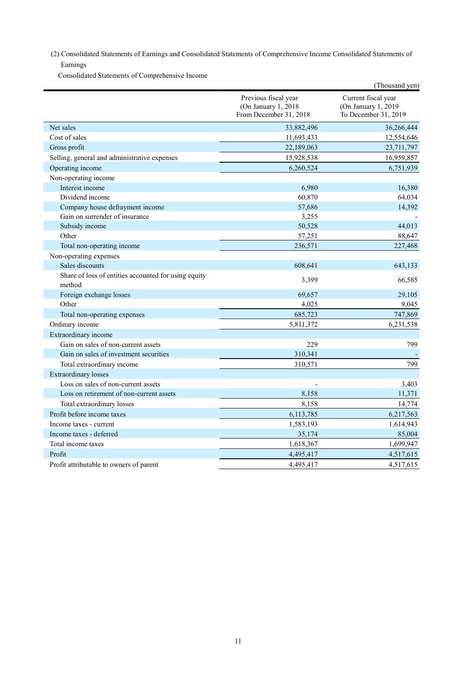(2) Consolidated Statements of Earnings and Consolidated Statements of Comprehensive Income Consolidated Statements of Earnings

Consolidated Statements of Comprehensive Income

|                                                                |                                                                       | (Thousand yen)                                                     |
|----------------------------------------------------------------|-----------------------------------------------------------------------|--------------------------------------------------------------------|
|                                                                | Previous fiscal year<br>(On January 1, 2018<br>From December 31, 2018 | Current fiscal year<br>(On January 1, 2019<br>To December 31, 2019 |
| Net sales                                                      | 33,882,496                                                            | 36,266,444                                                         |
| Cost of sales                                                  | 11,693,433                                                            | 12,554,646                                                         |
| Gross profit                                                   | 22,189,063                                                            | 23,711,797                                                         |
| Selling, general and administrative expenses                   | 15,928,538                                                            | 16,959,857                                                         |
| Operating income                                               | 6,260,524                                                             | 6,751,939                                                          |
| Non-operating income                                           |                                                                       |                                                                    |
| Interest income                                                | 6,980                                                                 | 16,380                                                             |
| Dividend income                                                | 60,870                                                                | 64,034                                                             |
| Company house defrayment income                                | 57,686                                                                | 14,392                                                             |
| Gain on surrender of insurance                                 | 3,255                                                                 |                                                                    |
| Subsidy income                                                 | 50,528                                                                | 44,013                                                             |
| Other                                                          | 57,251                                                                | 88,647                                                             |
| Total non-operating income                                     | 236,571                                                               | 227,468                                                            |
| Non-operating expenses                                         |                                                                       |                                                                    |
| Sales discounts                                                | 608,641                                                               | 643,133                                                            |
| Share of loss of entities accounted for using equity<br>method | 3,399                                                                 | 66,585                                                             |
| Foreign exchange losses                                        | 69,657                                                                | 29,105                                                             |
| Other                                                          | 4,025                                                                 | 9,045                                                              |
| Total non-operating expenses                                   | 685,723                                                               | 747,869                                                            |
| Ordinary income                                                | 5,811,372                                                             | 6,231,538                                                          |
| Extraordinary income                                           |                                                                       |                                                                    |
| Gain on sales of non-current assets                            | 229                                                                   | 799                                                                |
| Gain on sales of investment securities                         | 310,341                                                               |                                                                    |
| Total extraordinary income                                     | 310,571                                                               | 799                                                                |
| <b>Extraordinary losses</b>                                    |                                                                       |                                                                    |
| Loss on sales of non-current assets                            |                                                                       | 3,403                                                              |
| Loss on retirement of non-current assets                       | 8,158                                                                 | 11,371                                                             |
| Total extraordinary losses                                     | 8,158                                                                 | 14,774                                                             |
| Profit before income taxes                                     | 6,113,785                                                             | 6,217,563                                                          |
| Income taxes - current                                         | 1,583,193                                                             | 1,614,943                                                          |
| Income taxes - deferred                                        | 35,174                                                                | 85,004                                                             |
| Total income taxes                                             | 1,618,367                                                             | 1,699,947                                                          |
| Profit                                                         | 4,495,417                                                             | 4,517,615                                                          |
| Profit attributable to owners of parent                        | 4,495,417                                                             | 4,517,615                                                          |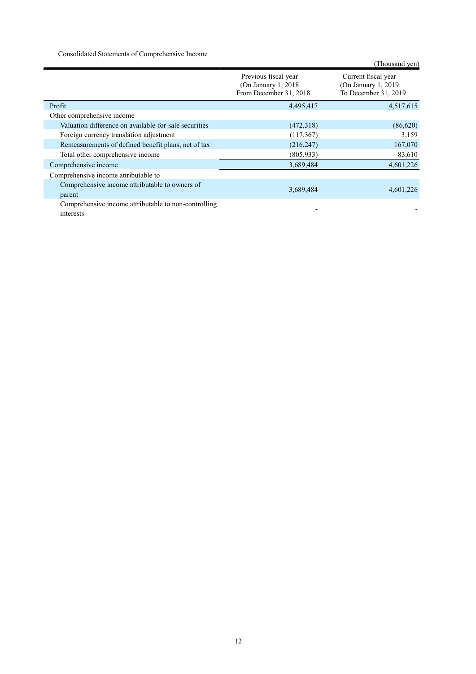Consolidated Statements of Comprehensive Income

|                                                                   |                                                                         | (Thousand yen)                                                      |
|-------------------------------------------------------------------|-------------------------------------------------------------------------|---------------------------------------------------------------------|
|                                                                   | Previous fiscal year<br>(On January 1, $2018$<br>From December 31, 2018 | Current fiscal year<br>(On January 1, 2019)<br>To December 31, 2019 |
| Profit                                                            | 4,495,417                                                               | 4,517,615                                                           |
| Other comprehensive income                                        |                                                                         |                                                                     |
| Valuation difference on available-for-sale securities             | (472,318)                                                               | (86,620)                                                            |
| Foreign currency translation adjustment                           | (117, 367)                                                              | 3,159                                                               |
| Remeasurements of defined benefit plans, net of tax               | (216, 247)                                                              | 167,070                                                             |
| Total other comprehensive income                                  | (805, 933)                                                              | 83,610                                                              |
| Comprehensive income                                              | 3,689,484                                                               | 4,601,226                                                           |
| Comprehensive income attributable to                              |                                                                         |                                                                     |
| Comprehensive income attributable to owners of                    | 3,689,484                                                               | 4,601,226                                                           |
| parent                                                            |                                                                         |                                                                     |
| Comprehensive income attributable to non-controlling<br>interests |                                                                         |                                                                     |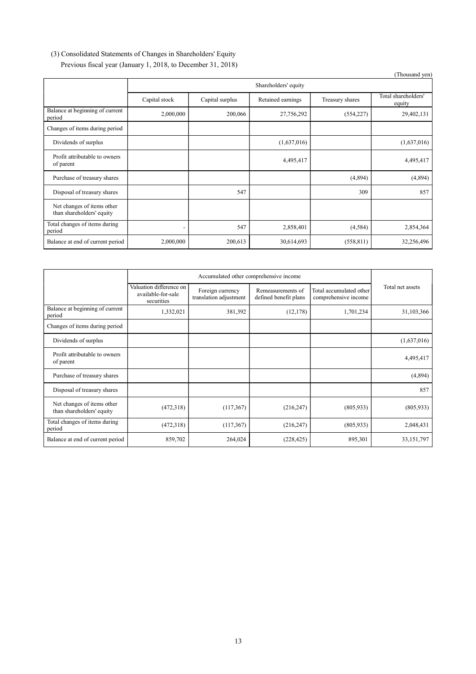# (3) Consolidated Statements of Changes in Shareholders' Equity Previous fiscal year (January 1, 2018, to December 31, 2018)

|                                                         |               |                      |                   |                 | (Thousand yen)                |  |
|---------------------------------------------------------|---------------|----------------------|-------------------|-----------------|-------------------------------|--|
|                                                         |               | Shareholders' equity |                   |                 |                               |  |
|                                                         | Capital stock | Capital surplus      | Retained earnings | Treasury shares | Total shareholders'<br>equity |  |
| Balance at beginning of current<br>period               | 2,000,000     | 200,066              | 27,756,292        | (554, 227)      | 29,402,131                    |  |
| Changes of items during period                          |               |                      |                   |                 |                               |  |
| Dividends of surplus                                    |               |                      | (1,637,016)       |                 | (1,637,016)                   |  |
| Profit attributable to owners<br>of parent              |               |                      | 4,495,417         |                 | 4,495,417                     |  |
| Purchase of treasury shares                             |               |                      |                   | (4,894)         | (4,894)                       |  |
| Disposal of treasury shares                             |               | 547                  |                   | 309             | 857                           |  |
| Net changes of items other<br>than shareholders' equity |               |                      |                   |                 |                               |  |
| Total changes of items during<br>period                 | ٠             | 547                  | 2,858,401         | (4,584)         | 2,854,364                     |  |
| Balance at end of current period                        | 2,000,000     | 200,613              | 30,614,693        | (558, 811)      | 32,256,496                    |  |

|                                                         | Accumulated other comprehensive income                      |                                            |                                            |                                                 |                  |
|---------------------------------------------------------|-------------------------------------------------------------|--------------------------------------------|--------------------------------------------|-------------------------------------------------|------------------|
|                                                         | Valuation difference on<br>available-for-sale<br>securities | Foreign currency<br>translation adjustment | Remeasurements of<br>defined benefit plans | Total accumulated other<br>comprehensive income | Total net assets |
| Balance at beginning of current<br>period               | 1,332,021                                                   | 381,392                                    | (12, 178)                                  | 1,701,234                                       | 31,103,366       |
| Changes of items during period                          |                                                             |                                            |                                            |                                                 |                  |
| Dividends of surplus                                    |                                                             |                                            |                                            |                                                 | (1,637,016)      |
| Profit attributable to owners<br>of parent              |                                                             |                                            |                                            |                                                 | 4,495,417        |
| Purchase of treasury shares                             |                                                             |                                            |                                            |                                                 | (4,894)          |
| Disposal of treasury shares                             |                                                             |                                            |                                            |                                                 | 857              |
| Net changes of items other<br>than shareholders' equity | (472,318)                                                   | (117, 367)                                 | (216, 247)                                 | (805, 933)                                      | (805,933)        |
| Total changes of items during<br>period                 | (472,318)                                                   | (117, 367)                                 | (216, 247)                                 | (805, 933)                                      | 2,048,431        |
| Balance at end of current period                        | 859,702                                                     | 264,024                                    | (228, 425)                                 | 895,301                                         | 33,151,797       |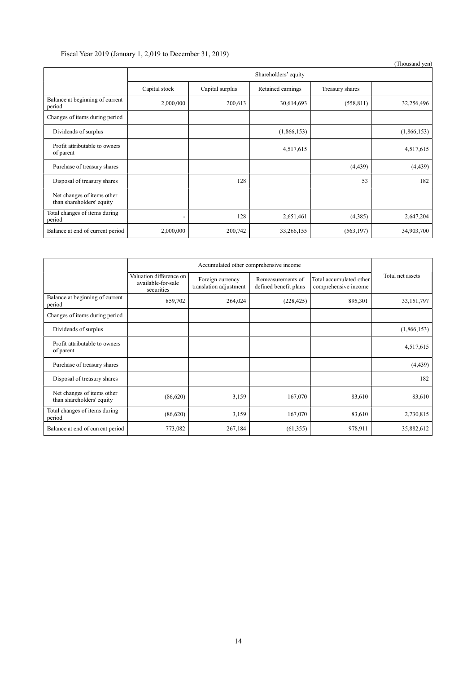# Fiscal Year 2019 (January 1, 2,019 to December 31, 2019)

|                                                         |               |                 |                      |                 | (Thousand yen) |
|---------------------------------------------------------|---------------|-----------------|----------------------|-----------------|----------------|
|                                                         |               |                 | Shareholders' equity |                 |                |
|                                                         | Capital stock | Capital surplus | Retained earnings    | Treasury shares |                |
| Balance at beginning of current<br>period               | 2,000,000     | 200,613         | 30,614,693           | (558, 811)      | 32,256,496     |
| Changes of items during period                          |               |                 |                      |                 |                |
| Dividends of surplus                                    |               |                 | (1,866,153)          |                 | (1,866,153)    |
| Profit attributable to owners<br>of parent              |               |                 | 4,517,615            |                 | 4,517,615      |
| Purchase of treasury shares                             |               |                 |                      | (4, 439)        | (4, 439)       |
| Disposal of treasury shares                             |               | 128             |                      | 53              | 182            |
| Net changes of items other<br>than shareholders' equity |               |                 |                      |                 |                |
| Total changes of items during<br>period                 |               | 128             | 2,651,461            | (4,385)         | 2,647,204      |
| Balance at end of current period                        | 2,000,000     | 200,742         | 33,266,155           | (563, 197)      | 34,903,700     |

|                                                         | Accumulated other comprehensive income                      |                                            |                                            |                                                 |                  |
|---------------------------------------------------------|-------------------------------------------------------------|--------------------------------------------|--------------------------------------------|-------------------------------------------------|------------------|
|                                                         | Valuation difference on<br>available-for-sale<br>securities | Foreign currency<br>translation adjustment | Remeasurements of<br>defined benefit plans | Total accumulated other<br>comprehensive income | Total net assets |
| Balance at beginning of current<br>period               | 859,702                                                     | 264,024                                    | (228, 425)                                 | 895,301                                         | 33,151,797       |
| Changes of items during period                          |                                                             |                                            |                                            |                                                 |                  |
| Dividends of surplus                                    |                                                             |                                            |                                            |                                                 | (1,866,153)      |
| Profit attributable to owners<br>of parent              |                                                             |                                            |                                            |                                                 | 4,517,615        |
| Purchase of treasury shares                             |                                                             |                                            |                                            |                                                 | (4, 439)         |
| Disposal of treasury shares                             |                                                             |                                            |                                            |                                                 | 182              |
| Net changes of items other<br>than shareholders' equity | (86,620)                                                    | 3,159                                      | 167,070                                    | 83,610                                          | 83,610           |
| Total changes of items during<br>period                 | (86,620)                                                    | 3,159                                      | 167,070                                    | 83,610                                          | 2,730,815        |
| Balance at end of current period                        | 773,082                                                     | 267,184                                    | (61, 355)                                  | 978,911                                         | 35,882,612       |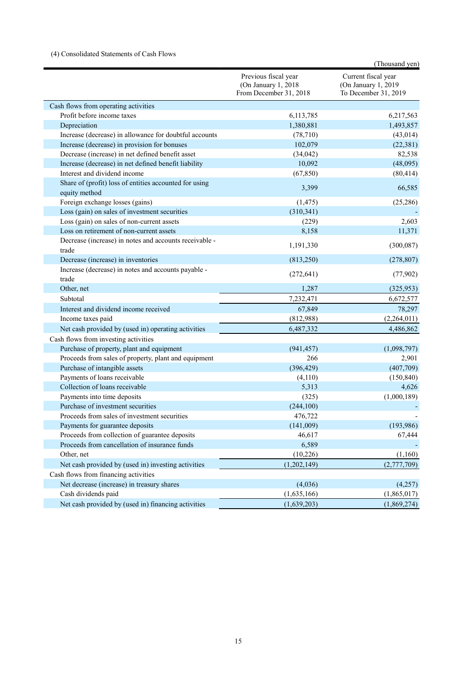# (4) Consolidated Statements of Cash Flows

|                                                                         |                                                                        | (Thousand yen)                                                     |
|-------------------------------------------------------------------------|------------------------------------------------------------------------|--------------------------------------------------------------------|
|                                                                         | Previous fiscal year<br>(On January 1, 2018)<br>From December 31, 2018 | Current fiscal year<br>(On January 1, 2019<br>To December 31, 2019 |
| Cash flows from operating activities                                    |                                                                        |                                                                    |
| Profit before income taxes                                              | 6,113,785                                                              | 6,217,563                                                          |
| Depreciation                                                            | 1,380,881                                                              | 1,493,857                                                          |
| Increase (decrease) in allowance for doubtful accounts                  | (78, 710)                                                              | (43, 014)                                                          |
| Increase (decrease) in provision for bonuses                            | 102,079                                                                | (22, 381)                                                          |
| Decrease (increase) in net defined benefit asset                        | (34, 042)                                                              | 82,538                                                             |
| Increase (decrease) in net defined benefit liability                    | 10,092                                                                 | (48,095)                                                           |
| Interest and dividend income                                            | (67, 850)                                                              | (80, 414)                                                          |
| Share of (profit) loss of entities accounted for using<br>equity method | 3,399                                                                  | 66,585                                                             |
| Foreign exchange losses (gains)                                         | (1, 475)                                                               | (25, 286)                                                          |
| Loss (gain) on sales of investment securities                           | (310, 341)                                                             |                                                                    |
| Loss (gain) on sales of non-current assets                              | (229)                                                                  | 2,603                                                              |
| Loss on retirement of non-current assets                                | 8,158                                                                  | 11,371                                                             |
| Decrease (increase) in notes and accounts receivable -<br>trade         | 1,191,330                                                              | (300,087)                                                          |
| Decrease (increase) in inventories                                      | (813,250)                                                              | (278, 807)                                                         |
| Increase (decrease) in notes and accounts payable -<br>trade            | (272, 641)                                                             | (77, 902)                                                          |
| Other, net                                                              | 1,287                                                                  | (325,953)                                                          |
| Subtotal                                                                | 7,232,471                                                              | 6,672,577                                                          |
| Interest and dividend income received                                   | 67,849                                                                 | 78,297                                                             |
| Income taxes paid                                                       | (812,988)                                                              | (2,264,011)                                                        |
| Net cash provided by (used in) operating activities                     | 6,487,332                                                              | 4,486,862                                                          |
| Cash flows from investing activities                                    |                                                                        |                                                                    |
| Purchase of property, plant and equipment                               | (941, 457)                                                             | (1,098,797)                                                        |
| Proceeds from sales of property, plant and equipment                    | 266                                                                    | 2,901                                                              |
| Purchase of intangible assets                                           | (396, 429)                                                             | (407,709)                                                          |
| Payments of loans receivable                                            | (4,110)                                                                | (150, 840)                                                         |
| Collection of loans receivable                                          | 5,313                                                                  | 4,626                                                              |
| Payments into time deposits                                             | (325)                                                                  | (1,000,189)                                                        |
| Purchase of investment securities                                       | (244, 100)                                                             |                                                                    |
| Proceeds from sales of investment securities                            | 476,722                                                                |                                                                    |
| Payments for guarantee deposits                                         | (141,009)                                                              | (193,986)                                                          |
| Proceeds from collection of guarantee deposits                          | 46,617                                                                 | 67,444                                                             |
| Proceeds from cancellation of insurance funds                           | 6,589                                                                  |                                                                    |
| Other, net                                                              | (10, 226)                                                              | (1,160)                                                            |
| Net cash provided by (used in) investing activities                     | (1,202,149)                                                            | (2,777,709)                                                        |
| Cash flows from financing activities                                    |                                                                        |                                                                    |
| Net decrease (increase) in treasury shares                              | (4,036)                                                                | (4,257)                                                            |
| Cash dividends paid                                                     | (1,635,166)                                                            | (1,865,017)                                                        |
| Net cash provided by (used in) financing activities                     | (1,639,203)                                                            | (1,869,274)                                                        |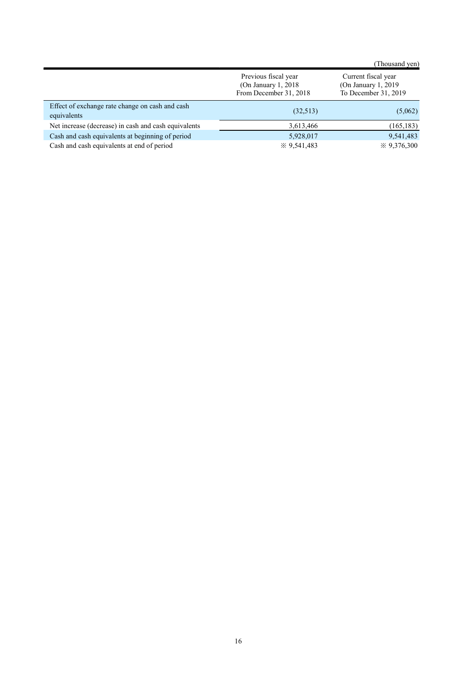|                                                                |                                                                           | (Thousand yen)                                                      |
|----------------------------------------------------------------|---------------------------------------------------------------------------|---------------------------------------------------------------------|
|                                                                | Previous fiscal year<br>(On January 1, $2018$ )<br>From December 31, 2018 | Current fiscal year<br>(On January 1, 2019)<br>To December 31, 2019 |
| Effect of exchange rate change on cash and cash<br>equivalents | (32,513)                                                                  | (5,062)                                                             |
| Net increase (decrease) in cash and cash equivalents           | 3,613,466                                                                 | (165, 183)                                                          |
| Cash and cash equivalents at beginning of period               | 5,928,017                                                                 | 9,541,483                                                           |
| Cash and cash equivalents at end of period                     | $\frac{1}{2}$ 9.541,483                                                   | $\div 9,376,300$                                                    |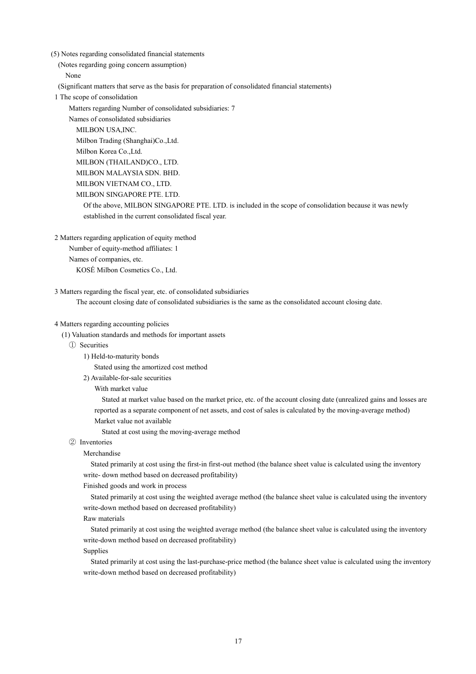(5) Notes regarding consolidated financial statements

(Notes regarding going concern assumption)

None

(Significant matters that serve as the basis for preparation of consolidated financial statements)

1 The scope of consolidation

Matters regarding Number of consolidated subsidiaries: 7

Names of consolidated subsidiaries MILBON USA,INC. Milbon Trading (Shanghai)Co.,Ltd. Milbon Korea Co.,Ltd. MILBON (THAILAND)CO., LTD. MILBON MALAYSIA SDN. BHD. MILBON VIETNAM CO., LTD. MILBON SINGAPORE PTE. LTD. Of the above, MILBON SINGAPORE PTE. LTD. is included in the scope of consolidation because it was newly established in the current consolidated fiscal year.

2 Matters regarding application of equity method

Number of equity-method affiliates: 1 Names of companies, etc.

KOSÉ Milbon Cosmetics Co., Ltd.

3 Matters regarding the fiscal year, etc. of consolidated subsidiaries

The account closing date of consolidated subsidiaries is the same as the consolidated account closing date.

# 4 Matters regarding accounting policies

(1) Valuation standards and methods for important assets

- ① Securities
	- 1) Held-to-maturity bonds

Stated using the amortized cost method

2) Available-for-sale securities

With market value

Stated at market value based on the market price, etc. of the account closing date (unrealized gains and losses are reported as a separate component of net assets, and cost of sales is calculated by the moving-average method) Market value not available

Stated at cost using the moving-average method

# ② Inventories

# Merchandise

Stated primarily at cost using the first-in first-out method (the balance sheet value is calculated using the inventory write- down method based on decreased profitability)

# Finished goods and work in process

Stated primarily at cost using the weighted average method (the balance sheet value is calculated using the inventory write-down method based on decreased profitability)

### Raw materials

Stated primarily at cost using the weighted average method (the balance sheet value is calculated using the inventory write-down method based on decreased profitability)

Supplies

Stated primarily at cost using the last-purchase-price method (the balance sheet value is calculated using the inventory write-down method based on decreased profitability)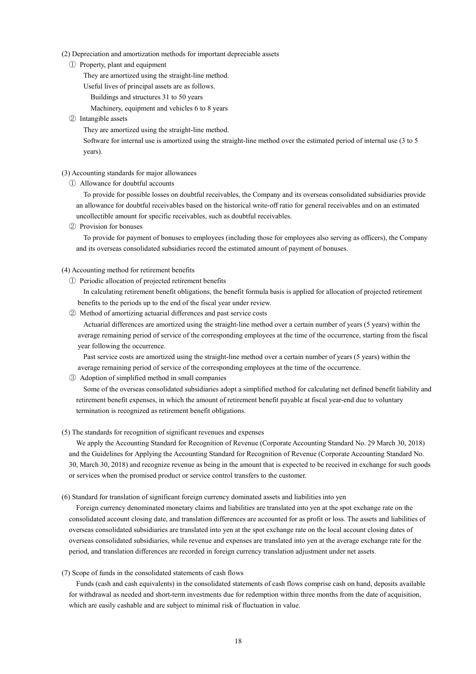### (2) Depreciation and amortization methods for important depreciable assets

① Property, plant and equipment

They are amortized using the straight-line method.

- Useful lives of principal assets are as follows.
	- Buildings and structures 31 to 50 years

Machinery, equipment and vehicles 6 to 8 years

② Intangible assets

They are amortized using the straight-line method.

Software for internal use is amortized using the straight-line method over the estimated period of internal use (3 to 5 years).

# (3) Accounting standards for major allowances

① Allowance for doubtful accounts

To provide for possible losses on doubtful receivables, the Company and its overseas consolidated subsidiaries provide an allowance for doubtful receivables based on the historical write-off ratio for general receivables and on an estimated uncollectible amount for specific receivables, such as doubtful receivables.

② Provision for bonuses

To provide for payment of bonuses to employees (including those for employees also serving as officers), the Company and its overseas consolidated subsidiaries record the estimated amount of payment of bonuses.

# (4) Accounting method for retirement benefits

① Periodic allocation of projected retirement benefits

In calculating retirement benefit obligations, the benefit formula basis is applied for allocation of projected retirement benefits to the periods up to the end of the fiscal year under review.

② Method of amortizing actuarial differences and past service costs

Actuarial differences are amortized using the straight-line method over a certain number of years (5 years) within the average remaining period of service of the corresponding employees at the time of the occurrence, starting from the fiscal year following the occurrence.

Past service costs are amortized using the straight-line method over a certain number of years (5 years) within the average remaining period of service of the corresponding employees at the time of the occurrence.

③ Adoption of simplified method in small companies

Some of the overseas consolidated subsidiaries adopt a simplified method for calculating net defined benefit liability and retirement benefit expenses, in which the amount of retirement benefit payable at fiscal year-end due to voluntary termination is recognized as retirement benefit obligations.

(5) The standards for recognition of significant revenues and expenses

We apply the Accounting Standard for Recognition of Revenue (Corporate Accounting Standard No. 29 March 30, 2018) and the Guidelines for Applying the Accounting Standard for Recognition of Revenue (Corporate Accounting Standard No. 30, March 30, 2018) and recognize revenue as being in the amount that is expected to be received in exchange for such goods or services when the promised product or service control transfers to the customer.

(6) Standard for translation of significant foreign currency dominated assets and liabilities into yen

Foreign currency denominated monetary claims and liabilities are translated into yen at the spot exchange rate on the consolidated account closing date, and translation differences are accounted for as profit or loss. The assets and liabilities of overseas consolidated subsidiaries are translated into yen at the spot exchange rate on the local account closing dates of overseas consolidated subsidiaries, while revenue and expenses are translated into yen at the average exchange rate for the period, and translation differences are recorded in foreign currency translation adjustment under net assets.

(7) Scope of funds in the consolidated statements of cash flows

Funds (cash and cash equivalents) in the consolidated statements of cash flows comprise cash on hand, deposits available for withdrawal as needed and short-term investments due for redemption within three months from the date of acquisition, which are easily cashable and are subject to minimal risk of fluctuation in value.